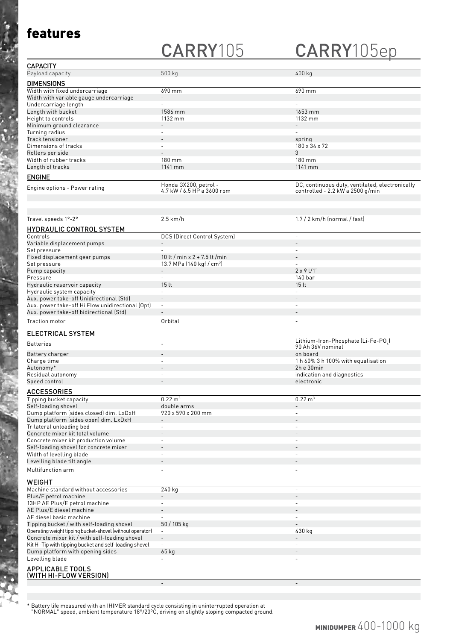### features

# CARRY105 CARRY105ep

| <b>CAPACITY</b>                         |                                                     |                                                                                     |
|-----------------------------------------|-----------------------------------------------------|-------------------------------------------------------------------------------------|
| Payload capacity                        | 500 kg                                              | 400 kg                                                                              |
| <b>DIMENSIONS</b>                       |                                                     |                                                                                     |
| Width with fixed undercarriage          | 690 mm                                              | 690 mm                                                                              |
| Width with variable gauge undercarriage |                                                     | $\qquad \qquad -$                                                                   |
| Undercarriage length                    | $\overline{\phantom{0}}$                            | $\overline{\phantom{0}}$                                                            |
| Length with bucket                      | 1586 mm                                             | 1653 mm                                                                             |
| Height to controls                      | 1132 mm                                             | 1132 mm                                                                             |
| Minimum ground clearance                |                                                     | $-$                                                                                 |
| Turning radius                          | $\overline{\phantom{0}}$                            | $\overline{\phantom{0}}$                                                            |
| Track tensioner                         | $-$                                                 | spring                                                                              |
| Dimensions of tracks                    | $\overline{\phantom{0}}$                            | 180 x 34 x 72                                                                       |
| Rollers per side                        | $\overline{\phantom{a}}$                            | 3                                                                                   |
| Width of rubber tracks                  | 180 mm                                              | $180 \text{ mm}$                                                                    |
| Length of tracks                        | 1141 mm                                             | 1141 mm                                                                             |
| <b>ENGINE</b>                           |                                                     |                                                                                     |
| Engine options - Power rating           | Honda GX200, petrol -<br>4.7 kW / 6.5 HP a 3600 rpm | DC, continuous duty, ventilated, electronically<br>controlled - 2.2 kW a 2500 g/min |

| Travel speeds 1°-2°                                       | $2.5$ km/h                                      | $1.7/2$ km/h (normal / fast)       |
|-----------------------------------------------------------|-------------------------------------------------|------------------------------------|
| <b>HYDRAULIC CONTROL SYSTEM</b>                           |                                                 |                                    |
| Controls                                                  | DCS (Direct Control System)                     | $\sim$                             |
| Variable displacement pumps                               |                                                 | $\sim$                             |
| Set pressure                                              | $\overline{a}$                                  | $\sim$                             |
| Fixed displacement gear pumps                             | 10 lt / min x $2 + 7.5$ lt /min                 |                                    |
| Set pressure                                              | 13.7 MPa $(140 \text{ kg} \cdot \text{/ cm}^2)$ |                                    |
| Pump capacity                                             |                                                 | $2 \times 91/1$                    |
| Pressure                                                  | $\mathbf{r}$                                    | 140 bar                            |
| Hydraulic reservoir capacity                              | 15 lt                                           | 15 <sub>lt</sub>                   |
| Hydraulic system capacity                                 | $\overline{a}$                                  |                                    |
| Aux. power take-off Unidirectional (Std)                  | $\overline{\phantom{a}}$                        |                                    |
| Aux. power take-off Hi Flow unidirectional (Opt)          | $\blacksquare$                                  | $\overline{a}$                     |
| Aux. power take-off bidirectional (Std)                   |                                                 |                                    |
| Traction motor                                            | Orbital                                         |                                    |
| ELECTRICAL SYSTEM                                         |                                                 |                                    |
|                                                           |                                                 | Lithium-Iron-Phosphate (Li-Fe-PO,) |
| <b>Batteries</b>                                          |                                                 | 90 Ah 36V nominal                  |
| Battery charger                                           |                                                 | on board                           |
| Charge time                                               | $\blacksquare$                                  | 1 h 60% 3 h 100% with equalisation |
| Autonomy*                                                 |                                                 | 2h e 30min                         |
| Residual autonomy                                         |                                                 | indication and diagnostics         |
| Speed control                                             |                                                 | electronic                         |
| <b>ACCESSORIES</b>                                        |                                                 |                                    |
| Tipping bucket capacity                                   | $0.22 \text{ m}^3$                              | $0.22 \text{ m}^3$                 |
| Self-loading shovel                                       | double arms                                     |                                    |
| Dump platform (sides closed) dim. LxDxH                   | 920 x 590 x 200 mm                              | $\sim$                             |
| Dump platform (sides open) dim. LxDxH                     | $\blacksquare$                                  |                                    |
| Trilateral unloading bed                                  | $\blacksquare$                                  |                                    |
| Concrete mixer kit total volume                           |                                                 |                                    |
| Concrete mixer kit production volume                      | $\blacksquare$                                  | $\sim$                             |
| Self-loading shovel for concrete mixer                    |                                                 |                                    |
| Width of levelling blade                                  |                                                 |                                    |
| Levelling blade tilt angle                                |                                                 |                                    |
| Multifunction arm                                         | $\overline{a}$                                  | ÷,                                 |
| <b>WEIGHT</b>                                             |                                                 |                                    |
| Machine standard without accessories                      | $240$ kg                                        | $\sim$                             |
| Plus/E petrol machine                                     |                                                 |                                    |
| 13HP AE Plus/E petrol machine                             |                                                 |                                    |
| AE Plus/E diesel machine                                  | $\blacksquare$                                  |                                    |
| AE diesel basic machine                                   | $\equiv$                                        | $\sim$                             |
| Tipping bucket / with self-loading shovel                 | 50 / 105 kg                                     |                                    |
| Operating weight tipping bucket-shovel (without operator) | $\blacksquare$                                  | 430 kg                             |
| Concrete mixer kit / with self-loading shovel             | $\overline{\phantom{a}}$                        |                                    |
| Kit Hi-Tip with tipping bucket and self-loading shovel    | ä,                                              | $\overline{a}$                     |
| Dump platform with opening sides                          | 65 kg                                           |                                    |
| Levelling blade                                           |                                                 |                                    |
|                                                           |                                                 |                                    |
| <b>APPLICABLE TOOLS</b><br>(WITH HI-FLOW VERSION)         |                                                 |                                    |
|                                                           |                                                 |                                    |
|                                                           |                                                 |                                    |

\* Battery life measured with an IHIMER standard cycle consisting in uninterrupted operation at "NORMAL" speed, ambient temperature 18°/20°C, driving on slightly sloping compacted ground.